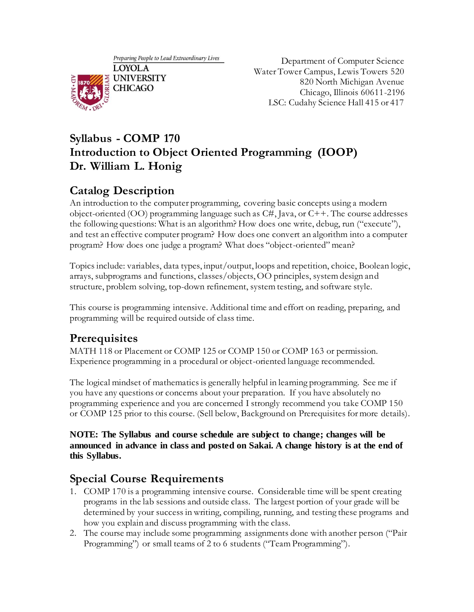Preparing People to Lead Extraordinary Lives



Department of Computer Science Water Tower Campus, Lewis Towers 520 820 North Michigan Avenue Chicago, Illinois 60611-2196 LSC: Cudahy Science Hall 415 or 417

# **Syllabus - COMP 170 Introduction to Object Oriented Programming (IOOP) Dr. William L. Honig**

### **Catalog Description**

An introduction to the computer programming, covering basic concepts using a modern object-oriented (OO) programming language such as  $C#$ , Java, or  $C++$ . The course addresses the following questions: What is an algorithm? How does one write, debug, run ("execute"), and test an effective computer program? How does one convert an algorithm into a computer program? How does one judge a program? What does "object-oriented" mean?

Topics include: variables, data types, input/output, loops and repetition, choice, Boolean logic, arrays, subprograms and functions, classes/objects, OO principles, system design and structure, problem solving, top-down refinement, system testing, and software style.

This course is programming intensive. Additional time and effort on reading, preparing, and programming will be required outside of class time.

### **Prerequisites**

MATH 118 or Placement or COMP 125 or COMP 150 or COMP 163 or permission. Experience programming in a procedural or object-oriented language recommended.

The logical mindset of mathematics is generally helpful in learning programming. See me if you have any questions or concerns about your preparation. If you have absolutely no programming experience and you are concerned I strongly recommend you take COMP 150 or COMP 125 prior to this course. (Sell below, Background on Prerequisites for more details).

**NOTE: The Syllabus and course schedule are subject to change; changes will be announced in advance in class and posted on Sakai. A change history is at the end of this Syllabus.**

# **Special Course Requirements**

- 1. COMP 170 is a programming intensive course. Considerable time will be spent creating programs in the lab sessions and outside class. The largest portion of your grade will be determined by your success in writing, compiling, running, and testing these programs and how you explain and discuss programming with the class.
- 2. The course may include some programming assignments done with another person ("Pair Programming") or small teams of 2 to 6 students ("Team Programming").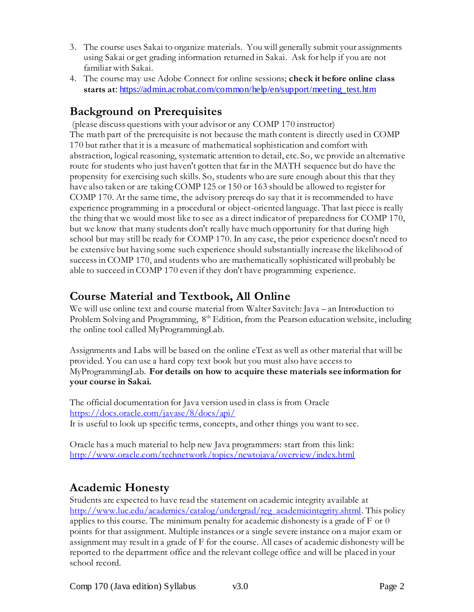- 3. The course uses Sakai to organize materials. You will generally submit your assignments using Sakai or get grading information returned in Sakai. Ask for help if you are not familiar with Sakai.
- 4. The course may use Adobe Connect for online sessions; **check it before online class starts at**: [https://admin.acrobat.com/common/help/en/support/meeting\\_test.htm](https://admin.acrobat.com/common/help/en/support/meeting_test.htm)

### **Background on Prerequisites**

(please discuss questions with your advisor or any COMP 170 instructor) The math part of the prerequisite is not because the math content is directly used in COMP 170 but rather that it is a measure of mathematical sophistication and comfort with abstraction, logical reasoning, systematic attention to detail, etc. So, we provide an alternative route for students who just haven't gotten that far in the MATH sequence but do have the propensity for exercising such skills. So, students who are sure enough about this that they have also taken or are taking COMP 125 or 150 or 163 should be allowed to register for COMP 170. At the same time, the advisory prereqs do say that it is recommended to have experience programming in a procedural or object-oriented language. That last piece is really the thing that we would most like to see as a direct indicator of preparedness for COMP 170, but we know that many students don't really have much opportunity for that during high school but may still be ready for COMP 170. In any case, the prior experience doesn't need to be extensive but having some such experience should substantially increase the likelihood of success in COMP 170, and students who are mathematically sophisticated will probably be able to succeed in COMP 170 even if they don't have programming experience.

#### **Course Material and Textbook, All Online**

We will use online text and course material from Walter Savitch: Java – an Introduction to Problem Solving and Programming, 8<sup>th</sup> Edition, from the Pearson education website, including the online tool called MyProgrammingLab.

Assignments and Labs will be based on the online eText as well as other material that will be provided. You can use a hard copy text book but you must also have access to MyProgrammingLab. **For details on how to acquire these materials see information for your course in Sakai.**

The official documentation for Java version used in class is from Oracle <https://docs.oracle.com/javase/8/docs/api/> It is useful to look up specific terms, concepts, and other things you want to see.

Oracle has a much material to help new Java programmers: start from this link: <http://www.oracle.com/technetwork/topics/newtojava/overview/index.html>

### **Academic Honesty**

Students are expected to have read the statement on academic integrity available at [http://www.luc.edu/academics/catalog/undergrad/reg\\_academicintegrity.shtml](http://www.luc.edu/academics/catalog/undergrad/reg_academicintegrity.shtml). This policy applies to this course. The minimum penalty for academic dishonesty is a grade of F or 0 points for that assignment. Multiple instances or a single severe instance on a major exam or assignment may result in a grade of F for the course. All cases of academic dishonesty will be reported to the department office and the relevant college office and will be placed in your school record.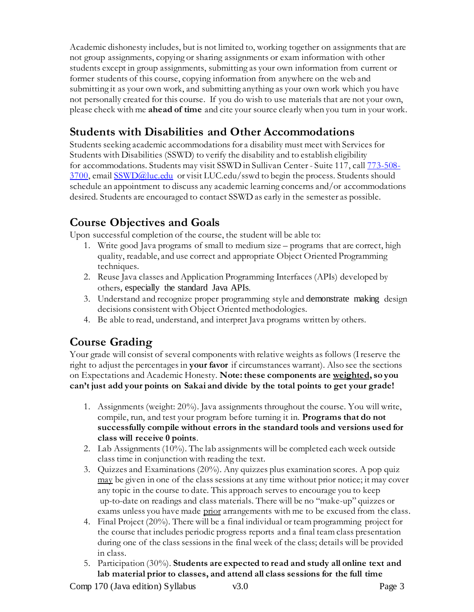Academic dishonesty includes, but is not limited to, working together on assignments that are not group assignments, copying or sharing assignments or exam information with other students except in group assignments, submitting as your own information from current or former students of this course, copying information from anywhere on the web and submitting it as your own work, and submitting anything as your own work which you have not personally created for this course. If you do wish to use materials that are not your own, please check with me **ahead of time** and cite your source clearly when you turn in your work.

#### **Students with Disabilities and Other Accommodations**

Students seeking academic accommodations for a disability must meet with Services for Students with Disabilities (SSWD) to verify the disability and to establish eligibility for accommodations. Students may visit SSWD in Sullivan Center - Suite 117, call  $773-508-$ [3700,](tel:773-508-3700) emai[l SSWD@luc.edu](mailto:SSWD@luc.edu) or visit LUC.edu/sswd to begin the process. Students should schedule an appointment to discuss any academic learning concerns and/or accommodations desired. Students are encouraged to contact SSWD as early in the semester as possible.

#### **Course Objectives and Goals**

Upon successful completion of the course, the student will be able to:

- 1. Write good Java programs of small to medium size programs that are correct, high quality, readable, and use correct and appropriate Object Oriented Programming techniques.
- 2. Reuse Java classes and Application Programming Interfaces (APIs) developed by others, especially the standard Java APIs.
- 3. Understand and recognize proper programming style and demonstrate making design decisions consistent with Object Oriented methodologies.
- 4. Be able to read, understand, and interpret Java programs written by others.

#### **Course Grading**

Your grade will consist of several components with relative weights as follows (I reserve the right to adjust the percentages in **your favor** if circumstances warrant). Also see the sections on Expectations and Academic Honesty. **Note: these components are weighted, so you can't just add your points on Sakai and divide by the total points to get your grade!**

- 1. Assignments (weight: 20%). Java assignments throughout the course. You will write, compile, run, and test your program before turning it in. **Programs that do not successfully compile without errors in the standard tools and versions used for class will receive 0 points**.
- 2. Lab Assignments (10%). The lab assignments will be completed each week outside class time in conjunction with reading the text.
- 3. Quizzes and Examinations (20%). Any quizzes plus examination scores. A pop quiz may be given in one of the class sessions at any time without prior notice; it may cover any topic in the course to date. This approach serves to encourage you to keep up-to-date on readings and class materials. There will be no "make-up" quizzes or exams unless you have made prior arrangements with me to be excused from the class.
- 4. Final Project (20%). There will be a final individual or team programming project for the course that includes periodic progress reports and a final team class presentation during one of the class sessions in the final week of the class; details will be provided in class.
- 5. Participation (30%). **Students are expected to read and study all online text and lab material prior to classes, and attend all class sessions for the full time**

Comp 170 (Java edition) Syllabus v3.0 Page 3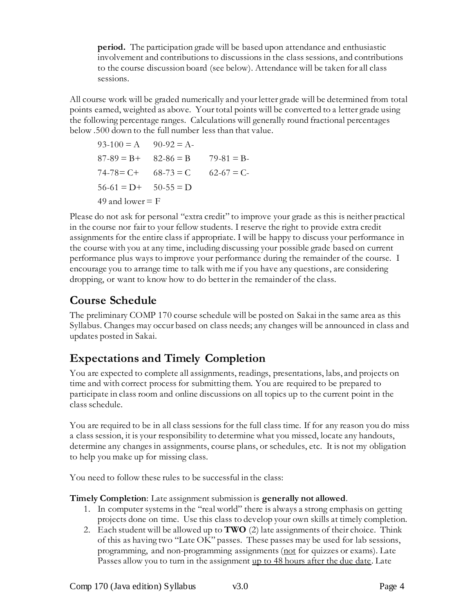**period.** The participation grade will be based upon attendance and enthusiastic involvement and contributions to discussions in the class sessions, and contributions to the course discussion board (see below). Attendance will be taken for all class sessions.

All course work will be graded numerically and your letter grade will be determined from total points earned, weighted as above. Your total points will be converted to a letter grade using the following percentage ranges. Calculations will generally round fractional percentages below .500 down to the full number less than that value.

| $93-100 = A$ $90-92 = A$ |                                     |               |
|--------------------------|-------------------------------------|---------------|
|                          | $87-89 = B + 82-86 = B$ $79-81 = B$ |               |
| $74-78 = C + 68-73 = C$  |                                     | $62 - 67 = C$ |
| $56-61 = D+ 50-55 = D$   |                                     |               |
| 49 and lower $=$ F       |                                     |               |

Please do not ask for personal "extra credit" to improve your grade as this is neither practical in the course nor fair to your fellow students. I reserve the right to provide extra credit assignments for the entire class if appropriate. I will be happy to discuss your performance in the course with you at any time, including discussing your possible grade based on current performance plus ways to improve your performance during the remainder of the course. I encourage you to arrange time to talk with me if you have any questions, are considering dropping, or want to know how to do better in the remainder of the class.

### **Course Schedule**

The preliminary COMP 170 course schedule will be posted on Sakai in the same area as this Syllabus. Changes may occur based on class needs; any changes will be announced in class and updates posted in Sakai.

### **Expectations and Timely Completion**

You are expected to complete all assignments, readings, presentations, labs, and projects on time and with correct process for submitting them. You are required to be prepared to participate in class room and online discussions on all topics up to the current point in the class schedule.

You are required to be in all class sessions for the full class time. If for any reason you do miss a class session, it is your responsibility to determine what you missed, locate any handouts, determine any changes in assignments, course plans, or schedules, etc. It is not my obligation to help you make up for missing class.

You need to follow these rules to be successful in the class:

**Timely Completion**: Late assignment submission is **generally not allowed**.

- 1. In computer systems in the "real world" there is always a strong emphasis on getting projects done on time. Use this class to develop your own skills at timely completion.
- 2. Each student will be allowed up to **TWO** (2) late assignments of their choice. Think of this as having two "Late OK" passes. These passes may be used for lab sessions, programming, and non-programming assignments (not for quizzes or exams). Late Passes allow you to turn in the assignment <u>up to 48 hours after the due date</u>. Late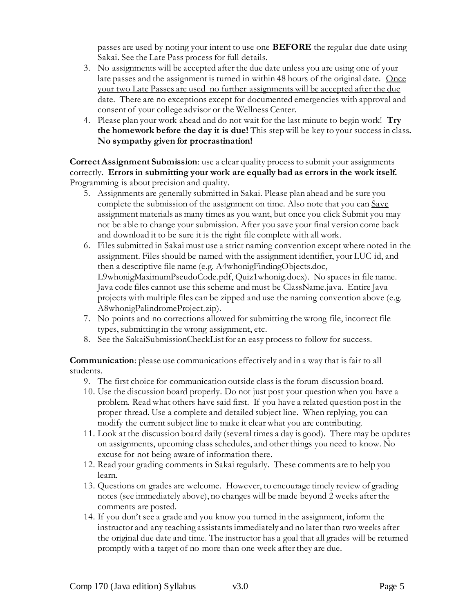passes are used by noting your intent to use one **BEFORE** the regular due date using Sakai. See the Late Pass process for full details.

- 3. No assignments will be accepted after the due date unless you are using one of your late passes and the assignment is turned in within 48 hours of the original date. Once your two Late Passes are used no further assignments will be accepted after the due date. There are no exceptions except for documented emergencies with approval and consent of your college advisor or the Wellness Center.
- 4. Please plan your work ahead and do not wait for the last minute to begin work! **Try the homework before the day it is due!** This step will be key to your success in class**. No sympathy given for procrastination!**

**Correct Assignment Submission**: use a clear quality process to submit your assignments correctly. **Errors in submitting your work are equally bad as errors in the work itself.** Programming is about precision and quality.

- 5. Assignments are generally submitted in Sakai. Please plan ahead and be sure you complete the submission of the assignment on time. Also note that you can Save assignment materials as many times as you want, but once you click Submit you may not be able to change your submission. After you save your final version come back and download it to be sure it is the right file complete with all work.
- 6. Files submitted in Sakai must use a strict naming convention except where noted in the assignment. Files should be named with the assignment identifier, your LUC id, and then a descriptive file name (e.g. A4whonigFindingObjects.doc, L9whonigMaximumPseudoCode.pdf, Quiz1whonig.docx). No spaces in file name. Java code files cannot use this scheme and must be ClassName.java. Entire Java projects with multiple files can be zipped and use the naming convention above (e.g. A8whonigPalindromeProject.zip).
- 7. No points and no corrections allowed for submitting the wrong file, incorrect file types, submitting in the wrong assignment, etc.
- 8. See the SakaiSubmissionCheckList for an easy process to follow for success.

**Communication**: please use communications effectively and in a way that is fair to all students.

- 9. The first choice for communication outside class is the forum discussion board.
- 10. Use the discussion board properly. Do not just post your question when you have a problem. Read what others have said first. If you have a related question post in the proper thread. Use a complete and detailed subject line. When replying, you can modify the current subject line to make it clear what you are contributing.
- 11. Look at the discussion board daily (several times a day is good). There may be updates on assignments, upcoming class schedules, and other things you need to know. No excuse for not being aware of information there.
- 12. Read your grading comments in Sakai regularly. These comments are to help you learn.
- 13. Questions on grades are welcome. However, to encourage timely review of grading notes (see immediately above), no changes will be made beyond 2 weeks after the comments are posted.
- 14. If you don't see a grade and you know you turned in the assignment, inform the instructor and any teaching assistants immediately and no later than two weeks after the original due date and time. The instructor has a goal that all grades will be returned promptly with a target of no more than one week after they are due.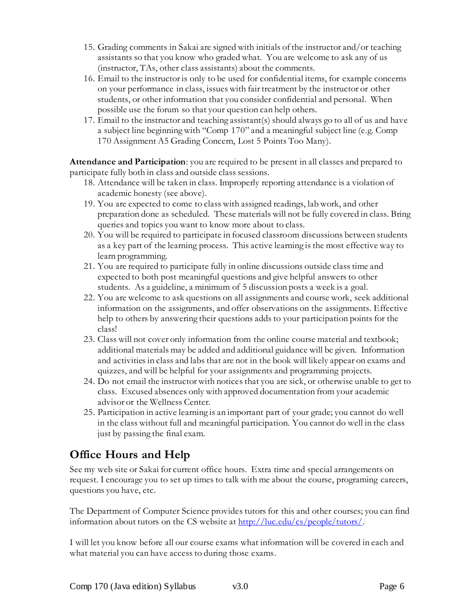- 15. Grading comments in Sakai are signed with initials of the instructor and/or teaching assistants so that you know who graded what. You are welcome to ask any of us (instructor, TAs, other class assistants) about the comments.
- 16. Email to the instructor is only to be used for confidential items, for example concerns on your performance in class, issues with fair treatment by the instructor or other students, or other information that you consider confidential and personal. When possible use the forum so that your question can help others.
- 17. Email to the instructor and teaching assistant(s) should always go to all of us and have a subject line beginning with "Comp 170" and a meaningful subject line (e.g. Comp 170 Assignment A5 Grading Concern, Lost 5 Points Too Many).

**Attendance and Participation**: you are required to be present in all classes and prepared to participate fully both in class and outside class sessions.

- 18. Attendance will be taken in class. Improperly reporting attendance is a violation of academic honesty (see above).
- 19. You are expected to come to class with assigned readings, lab work, and other preparation done as scheduled. These materials will not be fully covered in class. Bring queries and topics you want to know more about to class.
- 20. You will be required to participate in focused classroom discussions between students as a key part of the learning process. This active learning is the most effective way to learn programming.
- 21. You are required to participate fully in online discussions outside class time and expected to both post meaningful questions and give helpful answers to other students. As a guideline, a minimum of 5 discussion posts a week is a goal.
- 22. You are welcome to ask questions on all assignments and course work, seek additional information on the assignments, and offer observations on the assignments. Effective help to others by answering their questions adds to your participation points for the class!
- 23. Class will not cover only information from the online course material and textbook; additional materials may be added and additional guidance will be given. Information and activities in class and labs that are not in the book will likely appear on exams and quizzes, and will be helpful for your assignments and programming projects.
- 24. Do not email the instructor with notices that you are sick, or otherwise unable to get to class. Excused absences only with approved documentation from your academic advisor or the Wellness Center.
- 25. Participation in active learning is an important part of your grade; you cannot do well in the class without full and meaningful participation. You cannot do well in the class just by passing the final exam.

### **Office Hours and Help**

See my web site or Sakai for current office hours. Extra time and special arrangements on request. I encourage you to set up times to talk with me about the course, programing careers, questions you have, etc.

The Department of Computer Science provides tutors for this and other courses; you can find information about tutors on the CS website a[t http://luc.edu/cs/people/tutors/](http://luc.edu/cs/people/tutors/).

I will let you know before all our course exams what information will be covered in each and what material you can have access to during those exams.